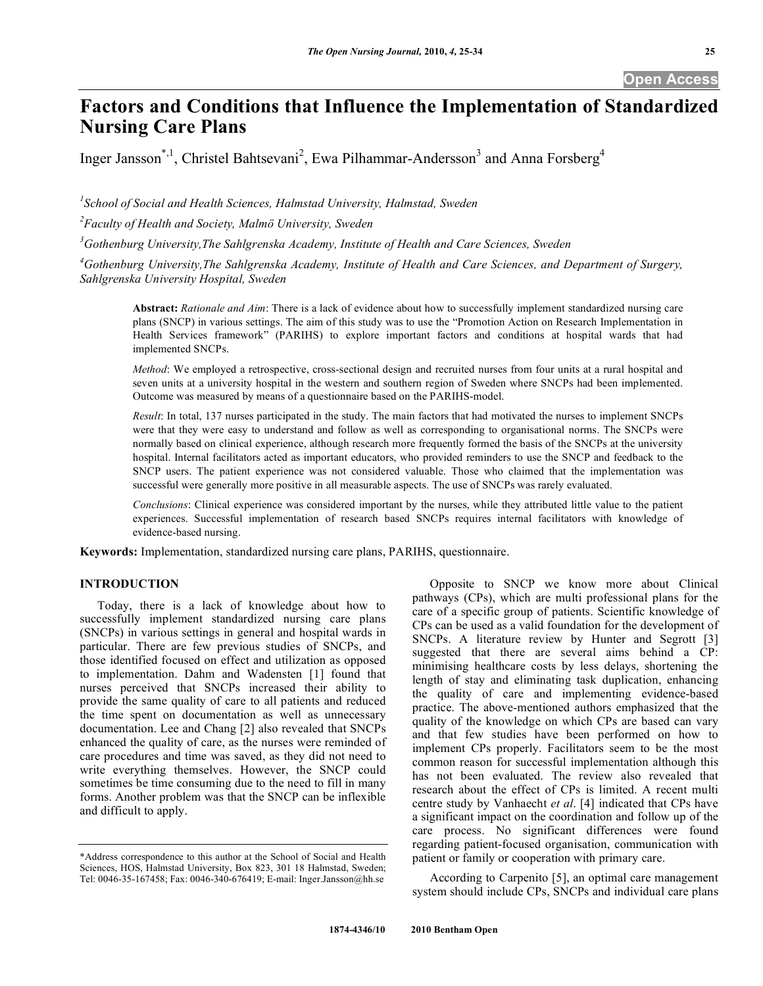# **Factors and Conditions that Influence the Implementation of Standardized Nursing Care Plans**

Inger Jansson<sup>\*,1</sup>, Christel Bahtsevani<sup>2</sup>, Ewa Pilhammar-Andersson<sup>3</sup> and Anna Forsberg<sup>4</sup>

<sup>1</sup> School of Social and Health Sciences, Halmstad University, Halmstad, Sweden

*2 Faculty of Health and Society, Malmö University, Sweden* 

*3 Gothenburg University,The Sahlgrenska Academy, Institute of Health and Care Sciences, Sweden* 

<sup>4</sup> Gothenburg University, The Sahlgrenska Academy, Institute of Health and Care Sciences, and Department of Surgery, *Sahlgrenska University Hospital, Sweden* 

**Abstract:** *Rationale and Aim*: There is a lack of evidence about how to successfully implement standardized nursing care plans (SNCP) in various settings. The aim of this study was to use the "Promotion Action on Research Implementation in Health Services framework" (PARIHS) to explore important factors and conditions at hospital wards that had implemented SNCPs.

*Method*: We employed a retrospective, cross-sectional design and recruited nurses from four units at a rural hospital and seven units at a university hospital in the western and southern region of Sweden where SNCPs had been implemented. Outcome was measured by means of a questionnaire based on the PARIHS-model.

*Result*: In total, 137 nurses participated in the study. The main factors that had motivated the nurses to implement SNCPs were that they were easy to understand and follow as well as corresponding to organisational norms. The SNCPs were normally based on clinical experience, although research more frequently formed the basis of the SNCPs at the university hospital. Internal facilitators acted as important educators, who provided reminders to use the SNCP and feedback to the SNCP users. The patient experience was not considered valuable. Those who claimed that the implementation was successful were generally more positive in all measurable aspects. The use of SNCPs was rarely evaluated.

*Conclusions*: Clinical experience was considered important by the nurses, while they attributed little value to the patient experiences. Successful implementation of research based SNCPs requires internal facilitators with knowledge of evidence-based nursing.

**Keywords:** Implementation, standardized nursing care plans, PARIHS, questionnaire.

# **INTRODUCTION**

 Today, there is a lack of knowledge about how to successfully implement standardized nursing care plans (SNCPs) in various settings in general and hospital wards in particular. There are few previous studies of SNCPs, and those identified focused on effect and utilization as opposed to implementation. Dahm and Wadensten [1] found that nurses perceived that SNCPs increased their ability to provide the same quality of care to all patients and reduced the time spent on documentation as well as unnecessary documentation. Lee and Chang [2] also revealed that SNCPs enhanced the quality of care, as the nurses were reminded of care procedures and time was saved, as they did not need to write everything themselves. However, the SNCP could sometimes be time consuming due to the need to fill in many forms. Another problem was that the SNCP can be inflexible and difficult to apply.

 Opposite to SNCP we know more about Clinical pathways (CPs), which are multi professional plans for the care of a specific group of patients. Scientific knowledge of CPs can be used as a valid foundation for the development of SNCPs. A literature review by Hunter and Segrott [3] suggested that there are several aims behind a CP: minimising healthcare costs by less delays, shortening the length of stay and eliminating task duplication, enhancing the quality of care and implementing evidence-based practice. The above-mentioned authors emphasized that the quality of the knowledge on which CPs are based can vary and that few studies have been performed on how to implement CPs properly. Facilitators seem to be the most common reason for successful implementation although this has not been evaluated. The review also revealed that research about the effect of CPs is limited. A recent multi centre study by Vanhaecht *et al*. [4] indicated that CPs have a significant impact on the coordination and follow up of the care process. No significant differences were found regarding patient-focused organisation, communication with patient or family or cooperation with primary care.

 According to Carpenito [5], an optimal care management system should include CPs, SNCPs and individual care plans

<sup>\*</sup>Address correspondence to this author at the School of Social and Health Sciences, HOS, Halmstad University, Box 823, 301 18 Halmstad, Sweden; Tel: 0046-35-167458; Fax: 0046-340-676419; E-mail: Inger.Jansson@hh.se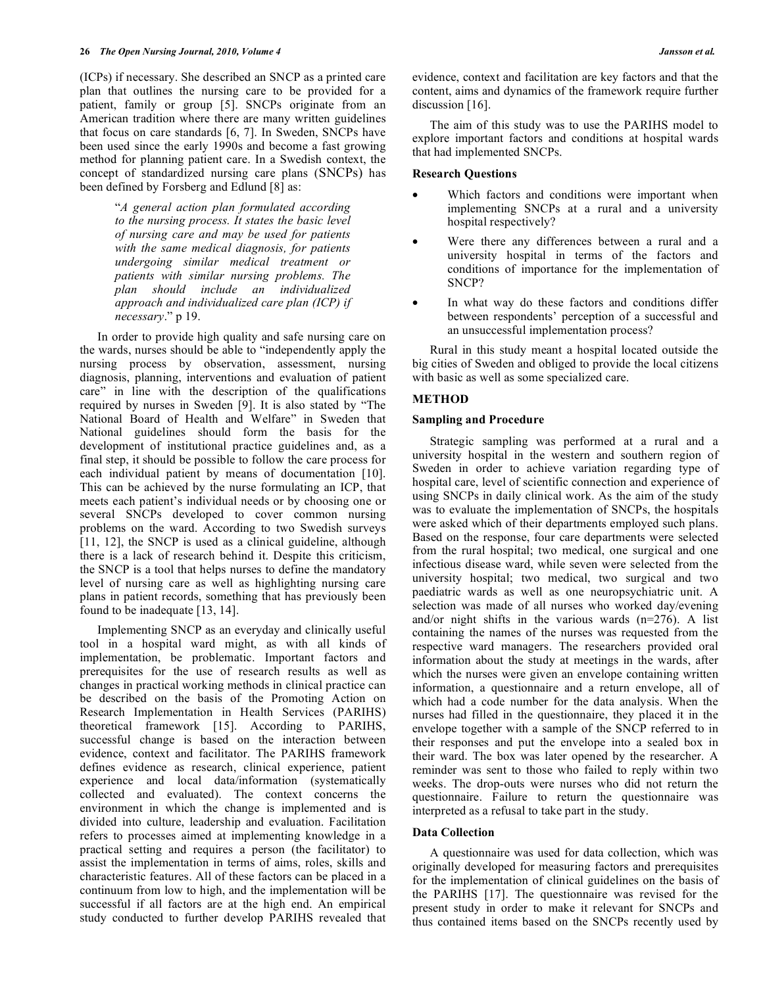(ICPs) if necessary. She described an SNCP as a printed care plan that outlines the nursing care to be provided for a patient, family or group [5]. SNCPs originate from an American tradition where there are many written guidelines that focus on care standards [6, 7]. In Sweden, SNCPs have been used since the early 1990s and become a fast growing method for planning patient care. In a Swedish context, the concept of standardized nursing care plans (SNCPs) has been defined by Forsberg and Edlund [8] as:

> "*A general action plan formulated according to the nursing process. It states the basic level of nursing care and may be used for patients with the same medical diagnosis, for patients undergoing similar medical treatment or patients with similar nursing problems. The plan should include an individualized approach and individualized care plan (ICP) if necessary*." p 19.

 In order to provide high quality and safe nursing care on the wards, nurses should be able to "independently apply the nursing process by observation, assessment, nursing diagnosis, planning, interventions and evaluation of patient care" in line with the description of the qualifications required by nurses in Sweden [9]. It is also stated by "The National Board of Health and Welfare" in Sweden that National guidelines should form the basis for the development of institutional practice guidelines and, as a final step, it should be possible to follow the care process for each individual patient by means of documentation [10]. This can be achieved by the nurse formulating an ICP, that meets each patient's individual needs or by choosing one or several SNCPs developed to cover common nursing problems on the ward. According to two Swedish surveys [11, 12], the SNCP is used as a clinical guideline, although there is a lack of research behind it. Despite this criticism, the SNCP is a tool that helps nurses to define the mandatory level of nursing care as well as highlighting nursing care plans in patient records, something that has previously been found to be inadequate [13, 14].

 Implementing SNCP as an everyday and clinically useful tool in a hospital ward might, as with all kinds of implementation, be problematic. Important factors and prerequisites for the use of research results as well as changes in practical working methods in clinical practice can be described on the basis of the Promoting Action on Research Implementation in Health Services (PARIHS) theoretical framework [15]. According to PARIHS, successful change is based on the interaction between evidence, context and facilitator. The PARIHS framework defines evidence as research, clinical experience, patient experience and local data/information (systematically collected and evaluated). The context concerns the environment in which the change is implemented and is divided into culture, leadership and evaluation. Facilitation refers to processes aimed at implementing knowledge in a practical setting and requires a person (the facilitator) to assist the implementation in terms of aims, roles, skills and characteristic features. All of these factors can be placed in a continuum from low to high, and the implementation will be successful if all factors are at the high end. An empirical study conducted to further develop PARIHS revealed that

evidence, context and facilitation are key factors and that the content, aims and dynamics of the framework require further discussion [16].

 The aim of this study was to use the PARIHS model to explore important factors and conditions at hospital wards that had implemented SNCPs.

#### **Research Questions**

- Which factors and conditions were important when implementing SNCPs at a rural and a university hospital respectively?
- Were there any differences between a rural and a university hospital in terms of the factors and conditions of importance for the implementation of SNCP?
- In what way do these factors and conditions differ between respondents' perception of a successful and an unsuccessful implementation process?

 Rural in this study meant a hospital located outside the big cities of Sweden and obliged to provide the local citizens with basic as well as some specialized care.

# **METHOD**

#### **Sampling and Procedure**

 Strategic sampling was performed at a rural and a university hospital in the western and southern region of Sweden in order to achieve variation regarding type of hospital care, level of scientific connection and experience of using SNCPs in daily clinical work. As the aim of the study was to evaluate the implementation of SNCPs, the hospitals were asked which of their departments employed such plans. Based on the response, four care departments were selected from the rural hospital; two medical, one surgical and one infectious disease ward, while seven were selected from the university hospital; two medical, two surgical and two paediatric wards as well as one neuropsychiatric unit. A selection was made of all nurses who worked day/evening and/or night shifts in the various wards (n=276). A list containing the names of the nurses was requested from the respective ward managers. The researchers provided oral information about the study at meetings in the wards, after which the nurses were given an envelope containing written information, a questionnaire and a return envelope, all of which had a code number for the data analysis. When the nurses had filled in the questionnaire, they placed it in the envelope together with a sample of the SNCP referred to in their responses and put the envelope into a sealed box in their ward. The box was later opened by the researcher. A reminder was sent to those who failed to reply within two weeks. The drop-outs were nurses who did not return the questionnaire. Failure to return the questionnaire was interpreted as a refusal to take part in the study.

#### **Data Collection**

 A questionnaire was used for data collection, which was originally developed for measuring factors and prerequisites for the implementation of clinical guidelines on the basis of the PARIHS [17]. The questionnaire was revised for the present study in order to make it relevant for SNCPs and thus contained items based on the SNCPs recently used by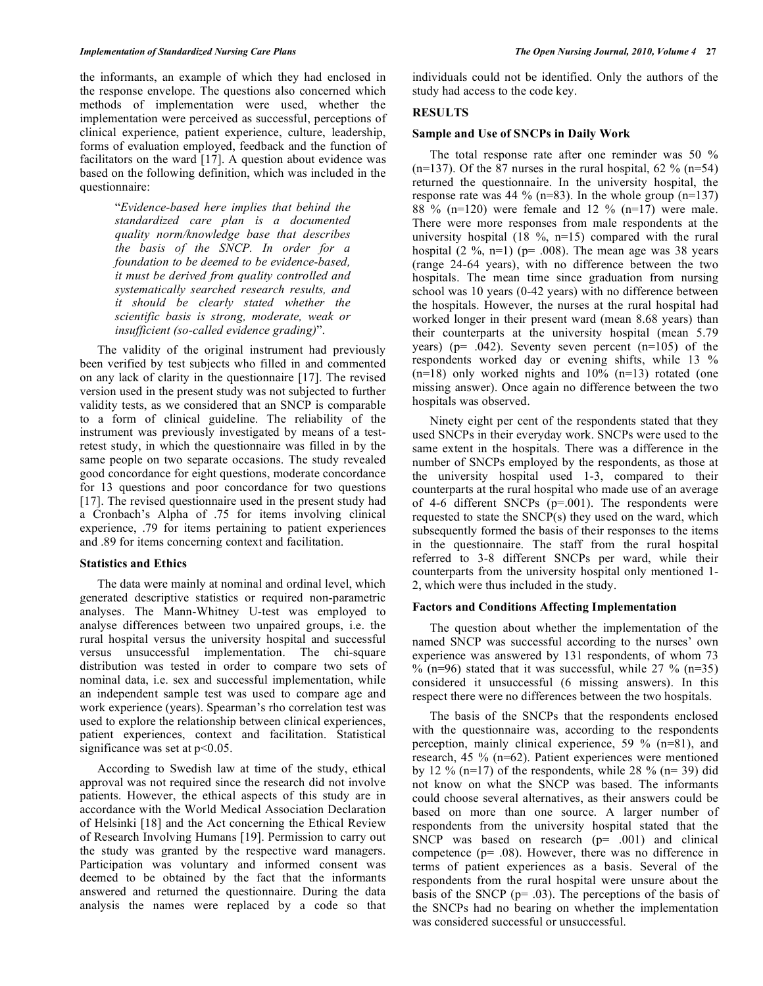the informants, an example of which they had enclosed in the response envelope. The questions also concerned which methods of implementation were used, whether the implementation were perceived as successful, perceptions of clinical experience, patient experience, culture, leadership, forms of evaluation employed, feedback and the function of facilitators on the ward [17]. A question about evidence was based on the following definition, which was included in the questionnaire:

> "*Evidence-based here implies that behind the standardized care plan is a documented quality norm/knowledge base that describes the basis of the SNCP. In order for a foundation to be deemed to be evidence-based, it must be derived from quality controlled and systematically searched research results, and it should be clearly stated whether the scientific basis is strong, moderate, weak or insufficient (so-called evidence grading)*".

 The validity of the original instrument had previously been verified by test subjects who filled in and commented on any lack of clarity in the questionnaire [17]. The revised version used in the present study was not subjected to further validity tests, as we considered that an SNCP is comparable to a form of clinical guideline. The reliability of the instrument was previously investigated by means of a testretest study, in which the questionnaire was filled in by the same people on two separate occasions. The study revealed good concordance for eight questions, moderate concordance for 13 questions and poor concordance for two questions [17]. The revised questionnaire used in the present study had a Cronbach's Alpha of .75 for items involving clinical experience, .79 for items pertaining to patient experiences and .89 for items concerning context and facilitation.

#### **Statistics and Ethics**

 The data were mainly at nominal and ordinal level, which generated descriptive statistics or required non-parametric analyses. The Mann-Whitney U-test was employed to analyse differences between two unpaired groups, i.e. the rural hospital versus the university hospital and successful versus unsuccessful implementation. The chi-square distribution was tested in order to compare two sets of nominal data, i.e. sex and successful implementation, while an independent sample test was used to compare age and work experience (years). Spearman's rho correlation test was used to explore the relationship between clinical experiences, patient experiences, context and facilitation. Statistical significance was set at  $p<0.05$ .

 According to Swedish law at time of the study, ethical approval was not required since the research did not involve patients. However, the ethical aspects of this study are in accordance with the World Medical Association Declaration of Helsinki [18] and the Act concerning the Ethical Review of Research Involving Humans [19]. Permission to carry out the study was granted by the respective ward managers. Participation was voluntary and informed consent was deemed to be obtained by the fact that the informants answered and returned the questionnaire. During the data analysis the names were replaced by a code so that

individuals could not be identified. Only the authors of the study had access to the code key.

# **RESULTS**

# **Sample and Use of SNCPs in Daily Work**

 The total response rate after one reminder was 50 %  $(n=137)$ . Of the 87 nurses in the rural hospital, 62 %  $(n=54)$ returned the questionnaire. In the university hospital, the response rate was 44 % (n=83). In the whole group (n=137) 88 % (n=120) were female and 12 % (n=17) were male. There were more responses from male respondents at the university hospital  $(18 \text{ %}, n=15)$  compared with the rural hospital  $(2 \frac{9}{6}, n=1)$  (p= .008). The mean age was 38 years (range 24-64 years), with no difference between the two hospitals. The mean time since graduation from nursing school was 10 years (0-42 years) with no difference between the hospitals. However, the nurses at the rural hospital had worked longer in their present ward (mean 8.68 years) than their counterparts at the university hospital (mean 5.79 years) ( $p= .042$ ). Seventy seven percent ( $n=105$ ) of the respondents worked day or evening shifts, while 13 %  $(n=18)$  only worked nights and  $10\%$   $(n=13)$  rotated (one missing answer). Once again no difference between the two hospitals was observed.

 Ninety eight per cent of the respondents stated that they used SNCPs in their everyday work. SNCPs were used to the same extent in the hospitals. There was a difference in the number of SNCPs employed by the respondents, as those at the university hospital used 1-3, compared to their counterparts at the rural hospital who made use of an average of 4-6 different SNCPs (p=.001). The respondents were requested to state the SNCP(s) they used on the ward, which subsequently formed the basis of their responses to the items in the questionnaire. The staff from the rural hospital referred to 3-8 different SNCPs per ward, while their counterparts from the university hospital only mentioned 1- 2, which were thus included in the study.

# **Factors and Conditions Affecting Implementation**

 The question about whether the implementation of the named SNCP was successful according to the nurses' own experience was answered by 131 respondents, of whom 73  $\%$  (n=96) stated that it was successful, while 27  $\%$  (n=35) considered it unsuccessful (6 missing answers). In this respect there were no differences between the two hospitals.

 The basis of the SNCPs that the respondents enclosed with the questionnaire was, according to the respondents perception, mainly clinical experience, 59 % (n=81), and research, 45 % (n=62). Patient experiences were mentioned by 12 % (n=17) of the respondents, while 28 % (n= 39) did not know on what the SNCP was based. The informants could choose several alternatives, as their answers could be based on more than one source. A larger number of respondents from the university hospital stated that the SNCP was based on research  $(p= .001)$  and clinical competence (p= .08). However, there was no difference in terms of patient experiences as a basis. Several of the respondents from the rural hospital were unsure about the basis of the SNCP (p= .03). The perceptions of the basis of the SNCPs had no bearing on whether the implementation was considered successful or unsuccessful.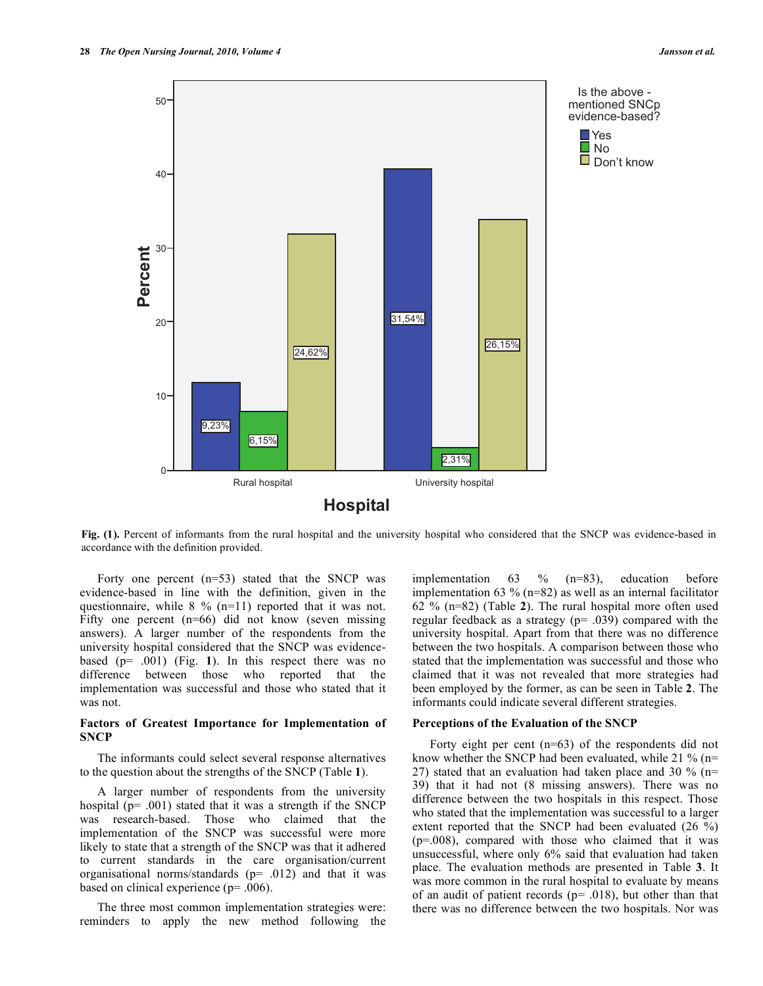

**Fig. (1).** Percent of informants from the rural hospital and the university hospital who considered that the SNCP was evidence-based in accordance with the definition provided.

Forty one percent  $(n=53)$  stated that the SNCP was evidence-based in line with the definition, given in the questionnaire, while 8 % (n=11) reported that it was not. Fifty one percent  $(n=66)$  did not know (seven missing answers). A larger number of the respondents from the university hospital considered that the SNCP was evidencebased (p= .001) (Fig. **1**). In this respect there was no difference between those who reported that the implementation was successful and those who stated that it was not.

### **Factors of Greatest Importance for Implementation of SNCP**

 The informants could select several response alternatives to the question about the strengths of the SNCP (Table **1**).

 A larger number of respondents from the university hospital (p= .001) stated that it was a strength if the SNCP was research-based. Those who claimed that the implementation of the SNCP was successful were more likely to state that a strength of the SNCP was that it adhered to current standards in the care organisation/current organisational norms/standards (p= .012) and that it was based on clinical experience (p= .006).

 The three most common implementation strategies were: reminders to apply the new method following the implementation 63 % (n=83), education before implementation 63 % ( $n=82$ ) as well as an internal facilitator 62 % (n=82) (Table **2**). The rural hospital more often used regular feedback as a strategy (p= .039) compared with the university hospital. Apart from that there was no difference between the two hospitals. A comparison between those who stated that the implementation was successful and those who claimed that it was not revealed that more strategies had been employed by the former, as can be seen in Table **2**. The informants could indicate several different strategies.

#### **Perceptions of the Evaluation of the SNCP**

 Forty eight per cent (n=63) of the respondents did not know whether the SNCP had been evaluated, while 21 % (n= 27) stated that an evaluation had taken place and 30 % (n= 39) that it had not (8 missing answers). There was no difference between the two hospitals in this respect. Those who stated that the implementation was successful to a larger extent reported that the SNCP had been evaluated (26 %) (p=.008), compared with those who claimed that it was unsuccessful, where only 6% said that evaluation had taken place. The evaluation methods are presented in Table **3**. It was more common in the rural hospital to evaluate by means of an audit of patient records ( $p = .018$ ), but other than that there was no difference between the two hospitals. Nor was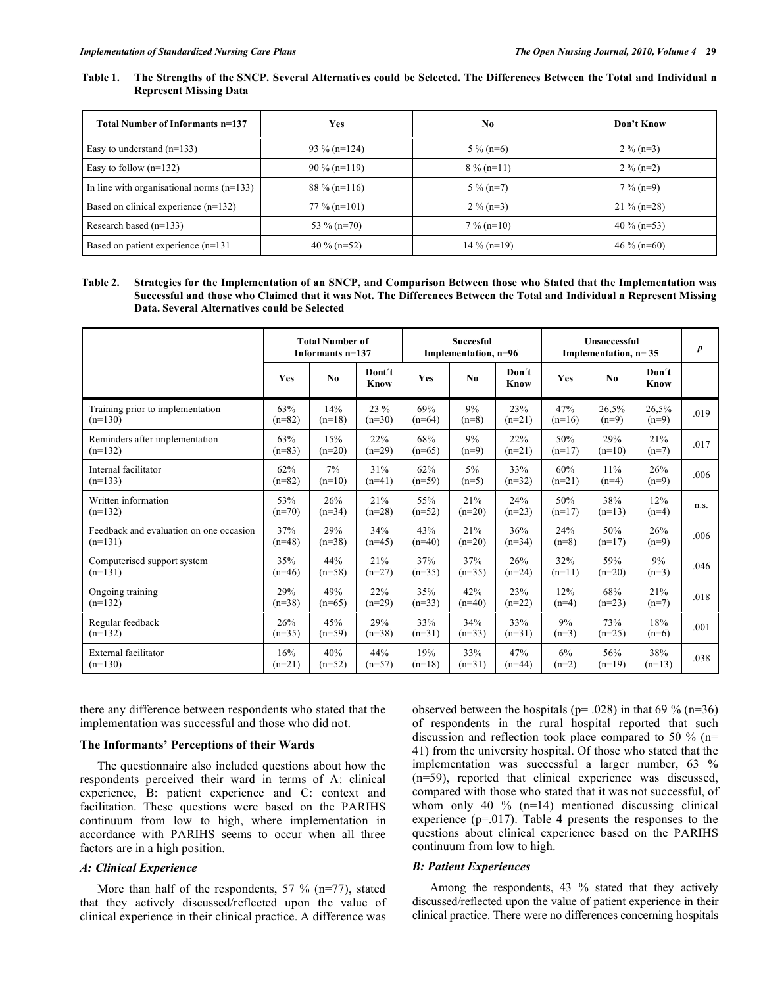## **Table 1. The Strengths of the SNCP. Several Alternatives could be Selected. The Differences Between the Total and Individual n Represent Missing Data**

| Total Number of Informants n=137            | Yes             | No.           | Don't Know    |
|---------------------------------------------|-----------------|---------------|---------------|
| Easy to understand $(n=133)$                | $93\%$ (n=124)  | $5\%$ (n=6)   | $2\%$ (n=3)   |
| Easy to follow $(n=132)$                    | $90\%$ (n=119)  | $8\%$ (n=11)  | $2\%$ (n=2)   |
| In line with organisational norms $(n=133)$ | $88\%$ (n=116)  | $5\%$ (n=7)   | $7\%$ (n=9)   |
| Based on clinical experience $(n=132)$      | $77\%$ (n=101)  | $2\%$ (n=3)   | $21\%$ (n=28) |
| Research based $(n=133)$                    | 53 % (n=70)     | $7\%$ (n=10)  | 40 % (n=53)   |
| Based on patient experience (n=131)         | 40 % ( $n=52$ ) | $14\%$ (n=19) | $46\%$ (n=60) |

#### **Table 2. Strategies for the Implementation of an SNCP, and Comparison Between those who Stated that the Implementation was Successful and those who Claimed that it was Not. The Differences Between the Total and Individual n Represent Missing Data. Several Alternatives could be Selected**

|                                         | <b>Total Number of</b><br>Informants n=137 |          |                | <b>Succesful</b><br>Implementation, n=96 |          |               | <b>Unsuccessful</b><br>Implementation, $n=35$ | $\boldsymbol{p}$ |               |      |
|-----------------------------------------|--------------------------------------------|----------|----------------|------------------------------------------|----------|---------------|-----------------------------------------------|------------------|---------------|------|
|                                         | <b>Yes</b>                                 | No.      | Dont't<br>Know | Yes                                      | No       | Don't<br>Know | Yes                                           | N <sub>0</sub>   | Don't<br>Know |      |
| Training prior to implementation        | 63%                                        | 14%      | 23 %           | 69%                                      | 9%       | 23%           | 47%                                           | 26,5%            | 26,5%         | .019 |
| $(n=130)$                               | $(n=82)$                                   | $(n=18)$ | $(n=30)$       | $(n=64)$                                 | $(n=8)$  | $(n=21)$      | $(n=16)$                                      | $(n=9)$          | $(n=9)$       |      |
| Reminders after implementation          | 63%                                        | 15%      | 22%            | 68%                                      | 9%       | 22%           | 50%                                           | 29%              | 21%           | .017 |
| $(n=132)$                               | $(n=83)$                                   | $(n=20)$ | $(n=29)$       | $(n=65)$                                 | $(n=9)$  | $(n=21)$      | $(n=17)$                                      | $(n=10)$         | $(n=7)$       |      |
| Internal facilitator                    | 62%                                        | 7%       | 31%            | 62%                                      | $5\%$    | 33%           | 60%                                           | 11%              | 26%           | .006 |
| $(n=133)$                               | $(n=82)$                                   | $(n=10)$ | $(n=41)$       | $(n=59)$                                 | $(n=5)$  | $(n=32)$      | $(n=21)$                                      | $(n=4)$          | $(n=9)$       |      |
| Written information                     | 53%                                        | 26%      | 21%            | 55%                                      | 21%      | 24%           | 50%                                           | 38%              | 12%           | n.s. |
| $(n=132)$                               | $(n=70)$                                   | $(n=34)$ | $(n=28)$       | $(n=52)$                                 | $(n=20)$ | $(n=23)$      | $(n=17)$                                      | $(n=13)$         | $(n=4)$       |      |
| Feedback and evaluation on one occasion | 37%                                        | 29%      | 34%            | 43%                                      | 21%      | 36%           | 24%                                           | 50%              | 26%           | .006 |
| $(n=131)$                               | $(n=48)$                                   | $(n=38)$ | $(n=45)$       | $(n=40)$                                 | $(n=20)$ | $(n=34)$      | $(n=8)$                                       | $(n=17)$         | $(n=9)$       |      |
| Computerised support system             | 35%                                        | 44%      | 21%            | 37%                                      | 37%      | 26%           | 32%                                           | 59%              | 9%            | .046 |
| $(n=131)$                               | $(n=46)$                                   | $(n=58)$ | $(n=27)$       | $(n=35)$                                 | $(n=35)$ | $(n=24)$      | $(n=11)$                                      | $(n=20)$         | $(n=3)$       |      |
| Ongoing training                        | 29%                                        | 49%      | 22%            | 35%                                      | 42%      | 23%           | 12%                                           | 68%              | 21%           | .018 |
| $(n=132)$                               | $(n=38)$                                   | $(n=65)$ | $(n=29)$       | $(n=33)$                                 | $(n=40)$ | $(n=22)$      | $(n=4)$                                       | $(n=23)$         | $(n=7)$       |      |
| Regular feedback                        | 26%                                        | 45%      | 29%            | 33%                                      | 34%      | 33%           | 9%                                            | 73%              | 18%           | .001 |
| $(n=132)$                               | $(n=35)$                                   | $(n=59)$ | $(n=38)$       | $(n=31)$                                 | $(n=33)$ | $(n=31)$      | $(n=3)$                                       | $(n=25)$         | $(n=6)$       |      |
| External facilitator                    | 16%                                        | 40%      | 44%            | 19%                                      | 33%      | 47%           | 6%                                            | 56%              | 38%           | .038 |
| $(n=130)$                               | $(n=21)$                                   | $(n=52)$ | $(n=57)$       | $(n=18)$                                 | $(n=31)$ | $(n=44)$      | $(n=2)$                                       | $(n=19)$         | $(n=13)$      |      |

there any difference between respondents who stated that the implementation was successful and those who did not.

#### **The Informants' Perceptions of their Wards**

 The questionnaire also included questions about how the respondents perceived their ward in terms of A: clinical experience, B: patient experience and C: context and facilitation. These questions were based on the PARIHS continuum from low to high, where implementation in accordance with PARIHS seems to occur when all three factors are in a high position.

### *A: Clinical Experience*

More than half of the respondents,  $57 \%$  (n=77), stated that they actively discussed/reflected upon the value of clinical experience in their clinical practice. A difference was observed between the hospitals ( $p = .028$ ) in that 69 % ( $n=36$ ) of respondents in the rural hospital reported that such discussion and reflection took place compared to 50 % (n= 41) from the university hospital. Of those who stated that the implementation was successful a larger number, 63 % (n=59), reported that clinical experience was discussed, compared with those who stated that it was not successful, of whom only 40 % (n=14) mentioned discussing clinical experience (p=.017). Table **4** presents the responses to the questions about clinical experience based on the PARIHS continuum from low to high.

#### *B: Patient Experiences*

 Among the respondents, 43 % stated that they actively discussed/reflected upon the value of patient experience in their clinical practice. There were no differences concerning hospitals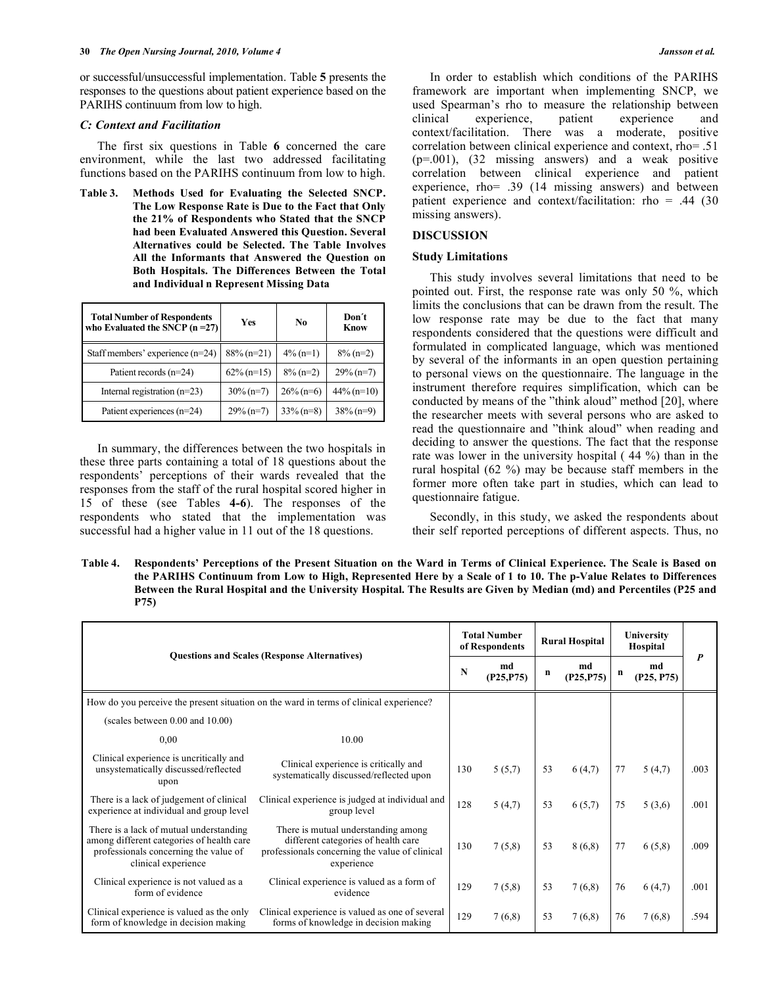or successful/unsuccessful implementation. Table **5** presents the responses to the questions about patient experience based on the PARIHS continuum from low to high.

#### *C: Context and Facilitation*

 The first six questions in Table **6** concerned the care environment, while the last two addressed facilitating functions based on the PARIHS continuum from low to high.

**Table 3. Methods Used for Evaluating the Selected SNCP. The Low Response Rate is Due to the Fact that Only the 21% of Respondents who Stated that the SNCP had been Evaluated Answered this Question. Several Alternatives could be Selected. The Table Involves All the Informants that Answered the Question on Both Hospitals. The Differences Between the Total and Individual n Represent Missing Data** 

| <b>Total Number of Respondents</b><br>who Evaluated the SNCP $(n=27)$ | Yes           | No           | Don't<br><b>Know</b> |
|-----------------------------------------------------------------------|---------------|--------------|----------------------|
| Staff members' experience (n=24)                                      | $88\%$ (n=21) | $4\%$ (n=1)  | $8\%$ (n=2)          |
| Patient records (n=24)                                                | $62\%$ (n=15) | $8\%$ (n=2)  | $29\%$ (n=7)         |
| Internal registration $(n=23)$                                        | $30\%$ (n=7)  | $26\%$ (n=6) | $44\%$ (n=10)        |
| Patient experiences (n=24)                                            | $29\%$ (n=7)  | $33\% (n=8)$ | $38\%$ (n=9)         |

 In summary, the differences between the two hospitals in these three parts containing a total of 18 questions about the respondents' perceptions of their wards revealed that the responses from the staff of the rural hospital scored higher in 15 of these (see Tables **4-6**). The responses of the respondents who stated that the implementation was successful had a higher value in 11 out of the 18 questions.

 In order to establish which conditions of the PARIHS framework are important when implementing SNCP, we used Spearman's rho to measure the relationship between clinical experience, patient experience and context/facilitation. There was a moderate, positive correlation between clinical experience and context, rho= .51 (p=.001), (32 missing answers) and a weak positive correlation between clinical experience and patient experience, rho= .39 (14 missing answers) and between patient experience and context/facilitation: rho =  $.44$  (30) missing answers).

#### **DISCUSSION**

#### **Study Limitations**

 This study involves several limitations that need to be pointed out. First, the response rate was only 50 %, which limits the conclusions that can be drawn from the result. The low response rate may be due to the fact that many respondents considered that the questions were difficult and formulated in complicated language, which was mentioned by several of the informants in an open question pertaining to personal views on the questionnaire. The language in the instrument therefore requires simplification, which can be conducted by means of the "think aloud" method [20], where the researcher meets with several persons who are asked to read the questionnaire and "think aloud" when reading and deciding to answer the questions. The fact that the response rate was lower in the university hospital ( 44 %) than in the rural hospital (62 %) may be because staff members in the former more often take part in studies, which can lead to questionnaire fatigue.

 Secondly, in this study, we asked the respondents about their self reported perceptions of different aspects. Thus, no

**Table 4. Respondents' Perceptions of the Present Situation on the Ward in Terms of Clinical Experience. The Scale is Based on the PARIHS Continuum from Low to High, Represented Here by a Scale of 1 to 10. The p-Value Relates to Differences Between the Rural Hospital and the University Hospital. The Results are Given by Median (md) and Percentiles (P25 and P75)** 

| <b>Questions and Scales (Response Alternatives)</b>                                                                                                  |                                                                                                                                            | <b>Total Number</b><br>of Respondents |                  | <b>Rural Hospital</b> |                  | University<br>Hospital |                  |      |
|------------------------------------------------------------------------------------------------------------------------------------------------------|--------------------------------------------------------------------------------------------------------------------------------------------|---------------------------------------|------------------|-----------------------|------------------|------------------------|------------------|------|
|                                                                                                                                                      |                                                                                                                                            | N                                     | md<br>(P25, P75) | n                     | md<br>(P25, P75) | n                      | md<br>(P25, P75) |      |
| How do you perceive the present situation on the ward in terms of clinical experience?                                                               |                                                                                                                                            |                                       |                  |                       |                  |                        |                  |      |
| (scales between 0.00 and 10.00)                                                                                                                      |                                                                                                                                            |                                       |                  |                       |                  |                        |                  |      |
| 0.00                                                                                                                                                 | 10.00                                                                                                                                      |                                       |                  |                       |                  |                        |                  |      |
| Clinical experience is uncritically and<br>unsystematically discussed/reflected<br>upon                                                              | Clinical experience is critically and<br>systematically discussed/reflected upon                                                           | 130                                   | 5(5,7)           | 53                    | 6(4,7)           | 77                     | 5(4,7)           | .003 |
| There is a lack of judgement of clinical<br>experience at individual and group level                                                                 | Clinical experience is judged at individual and<br>group level                                                                             | 128                                   | 5(4,7)           | 53                    | 6(5,7)           | 75                     | 5(3,6)           | .001 |
| There is a lack of mutual understanding<br>among different categories of health care<br>professionals concerning the value of<br>clinical experience | There is mutual understanding among<br>different categories of health care<br>professionals concerning the value of clinical<br>experience | 130                                   | 7(5,8)           | 53                    | 8(6,8)           | 77                     | 6(5,8)           | .009 |
| Clinical experience is not valued as a<br>form of evidence                                                                                           | Clinical experience is valued as a form of<br>evidence                                                                                     | 129                                   | 7(5,8)           | 53                    | 7(6,8)           | 76                     | 6(4,7)           | .001 |
| Clinical experience is valued as the only<br>form of knowledge in decision making                                                                    | Clinical experience is valued as one of several<br>forms of knowledge in decision making                                                   | 129                                   | 7(6,8)           | 53                    | 7(6,8)           | 76                     | 7(6,8)           | .594 |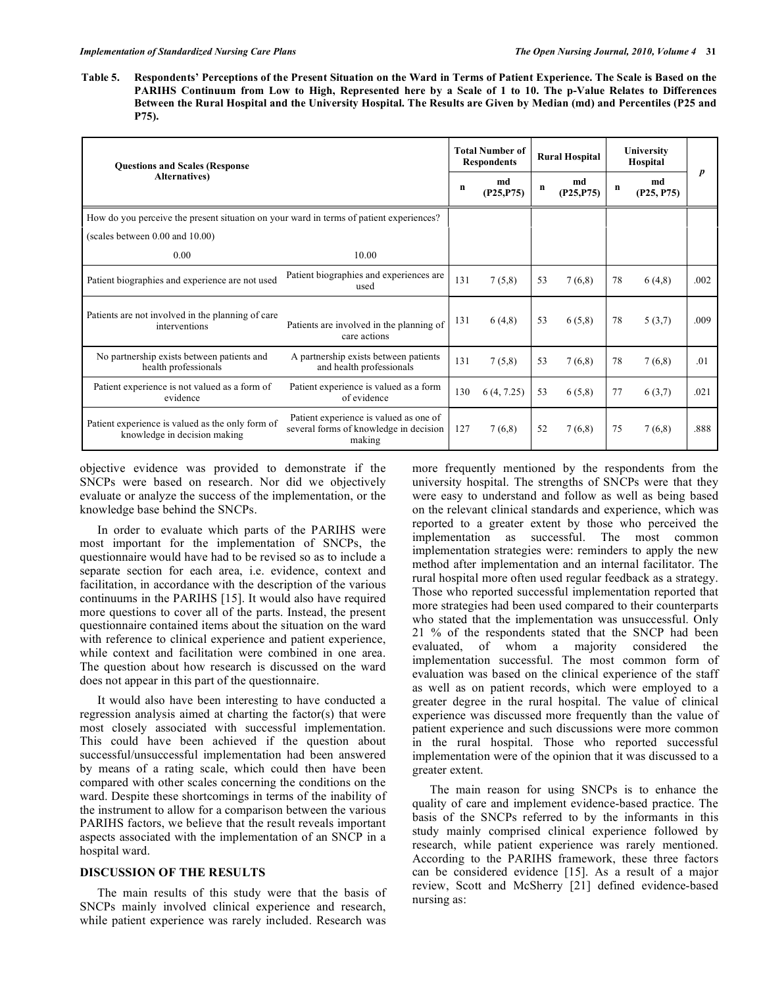**Table 5. Respondents' Perceptions of the Present Situation on the Ward in Terms of Patient Experience. The Scale is Based on the PARIHS Continuum from Low to High, Represented here by a Scale of 1 to 10. The p-Value Relates to Differences Between the Rural Hospital and the University Hospital. The Results are Given by Median (md) and Percentiles (P25 and P75).** 

| <b>Questions and Scales (Response</b>                                                   |                                                                                            |     | <b>Total Number of</b><br><b>Respondents</b> |    | <b>Rural Hospital</b> | University<br>Hospital |                  |      |
|-----------------------------------------------------------------------------------------|--------------------------------------------------------------------------------------------|-----|----------------------------------------------|----|-----------------------|------------------------|------------------|------|
| <b>Alternatives</b> )                                                                   |                                                                                            |     | md<br>(P25, P75)                             | n  | md<br>(P25, P75)      | n                      | md<br>(P25, P75) |      |
| How do you perceive the present situation on your ward in terms of patient experiences? |                                                                                            |     |                                              |    |                       |                        |                  |      |
| (scales between $0.00$ and $10.00$ )                                                    |                                                                                            |     |                                              |    |                       |                        |                  |      |
| 0.00                                                                                    | 10.00                                                                                      |     |                                              |    |                       |                        |                  |      |
| Patient biographies and experience are not used                                         | Patient biographies and experiences are<br>used                                            | 131 | 7(5,8)                                       | 53 | 7(6,8)                | 78                     | 6(4,8)           | .002 |
| Patients are not involved in the planning of care<br>interventions                      | Patients are involved in the planning of<br>care actions                                   | 131 | 6(4,8)                                       | 53 | 6(5,8)                | 78                     | 5(3,7)           | .009 |
| No partnership exists between patients and<br>health professionals                      | A partnership exists between patients<br>and health professionals                          | 131 | 7(5,8)                                       | 53 | 7(6,8)                | 78                     | 7(6,8)           | .01  |
| Patient experience is not valued as a form of<br>evidence                               | Patient experience is valued as a form<br>of evidence                                      | 130 | 6(4, 7.25)                                   | 53 | 6(5,8)                | 77                     | 6(3,7)           | .021 |
| Patient experience is valued as the only form of<br>knowledge in decision making        | Patient experience is valued as one of<br>several forms of knowledge in decision<br>making | 127 | 7(6,8)                                       | 52 | 7(6,8)                | 75                     | 7(6,8)           | .888 |

objective evidence was provided to demonstrate if the SNCPs were based on research. Nor did we objectively evaluate or analyze the success of the implementation, or the knowledge base behind the SNCPs.

 In order to evaluate which parts of the PARIHS were most important for the implementation of SNCPs, the questionnaire would have had to be revised so as to include a separate section for each area, i.e. evidence, context and facilitation, in accordance with the description of the various continuums in the PARIHS [15]. It would also have required more questions to cover all of the parts. Instead, the present questionnaire contained items about the situation on the ward with reference to clinical experience and patient experience, while context and facilitation were combined in one area. The question about how research is discussed on the ward does not appear in this part of the questionnaire.

 It would also have been interesting to have conducted a regression analysis aimed at charting the factor(s) that were most closely associated with successful implementation. This could have been achieved if the question about successful/unsuccessful implementation had been answered by means of a rating scale, which could then have been compared with other scales concerning the conditions on the ward. Despite these shortcomings in terms of the inability of the instrument to allow for a comparison between the various PARIHS factors, we believe that the result reveals important aspects associated with the implementation of an SNCP in a hospital ward.

# **DISCUSSION OF THE RESULTS**

 The main results of this study were that the basis of SNCPs mainly involved clinical experience and research, while patient experience was rarely included. Research was

more frequently mentioned by the respondents from the university hospital. The strengths of SNCPs were that they were easy to understand and follow as well as being based on the relevant clinical standards and experience, which was reported to a greater extent by those who perceived the implementation as successful. The most common implementation strategies were: reminders to apply the new method after implementation and an internal facilitator. The rural hospital more often used regular feedback as a strategy. Those who reported successful implementation reported that more strategies had been used compared to their counterparts who stated that the implementation was unsuccessful. Only 21 % of the respondents stated that the SNCP had been evaluated, of whom a majority considered the implementation successful. The most common form of evaluation was based on the clinical experience of the staff as well as on patient records, which were employed to a greater degree in the rural hospital. The value of clinical experience was discussed more frequently than the value of patient experience and such discussions were more common in the rural hospital. Those who reported successful implementation were of the opinion that it was discussed to a greater extent.

 The main reason for using SNCPs is to enhance the quality of care and implement evidence-based practice. The basis of the SNCPs referred to by the informants in this study mainly comprised clinical experience followed by research, while patient experience was rarely mentioned. According to the PARIHS framework, these three factors can be considered evidence [15]. As a result of a major review, Scott and McSherry [21] defined evidence-based nursing as: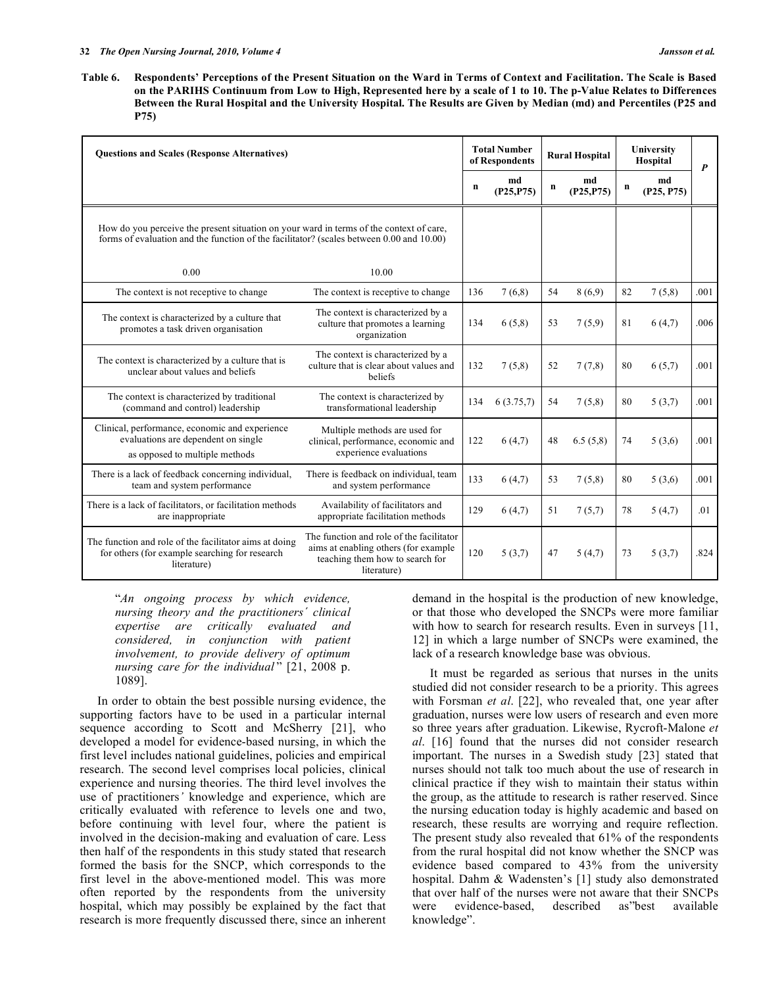**Table 6. Respondents' Perceptions of the Present Situation on the Ward in Terms of Context and Facilitation. The Scale is Based on the PARIHS Continuum from Low to High, Represented here by a scale of 1 to 10. The p-Value Relates to Differences Between the Rural Hospital and the University Hospital. The Results are Given by Median (md) and Percentiles (P25 and P75)** 

| <b>Ouestions and Scales (Response Alternatives)</b>                                                                                                                                 |                                                                                                                                    | <b>Total Number</b><br>of Respondents |                  | <b>Rural Hospital</b> |                  | University<br>Hospital |                  | $\boldsymbol{P}$ |
|-------------------------------------------------------------------------------------------------------------------------------------------------------------------------------------|------------------------------------------------------------------------------------------------------------------------------------|---------------------------------------|------------------|-----------------------|------------------|------------------------|------------------|------------------|
|                                                                                                                                                                                     |                                                                                                                                    | n                                     | md<br>(P25, P75) | $\mathbf n$           | md<br>(P25, P75) | n                      | md<br>(P25, P75) |                  |
| How do you perceive the present situation on your ward in terms of the context of care,<br>forms of evaluation and the function of the facilitator? (scales between 0.00 and 10.00) |                                                                                                                                    |                                       |                  |                       |                  |                        |                  |                  |
| 0.00                                                                                                                                                                                | 10.00                                                                                                                              |                                       |                  |                       |                  |                        |                  |                  |
| The context is not receptive to change                                                                                                                                              | The context is receptive to change.                                                                                                | 136                                   | 7(6,8)           | 54                    | 8(6.9)           | 82                     | 7(5,8)           | .001             |
| The context is characterized by a culture that<br>promotes a task driven organisation                                                                                               | The context is characterized by a<br>culture that promotes a learning<br>organization                                              | 134                                   | 6(5,8)           | 53                    | 7(5,9)           | 81                     | 6(4,7)           | .006             |
| The context is characterized by a culture that is<br>unclear about values and beliefs                                                                                               | The context is characterized by a<br>culture that is clear about values and<br>beliefs                                             | 132                                   | 7(5,8)           | 52                    | 7(7,8)           | 80                     | 6(5,7)           | .001             |
| The context is characterized by traditional<br>(command and control) leadership                                                                                                     | The context is characterized by<br>transformational leadership                                                                     | 134                                   | 6(3.75,7)        | 54                    | 7(5,8)           | 80                     | 5(3,7)           | .001             |
| Clinical, performance, economic and experience<br>evaluations are dependent on single<br>as opposed to multiple methods                                                             | Multiple methods are used for<br>clinical, performance, economic and<br>experience evaluations                                     | 122                                   | 6(4,7)           | 48                    | 6.5(5,8)         | 74                     | 5(3,6)           | .001             |
| There is a lack of feedback concerning individual,<br>team and system performance                                                                                                   | There is feedback on individual, team<br>and system performance                                                                    | 133                                   | 6(4,7)           | 53                    | 7(5,8)           | 80                     | 5(3,6)           | .001             |
| There is a lack of facilitators, or facilitation methods<br>are inappropriate                                                                                                       | Availability of facilitators and<br>appropriate facilitation methods                                                               | 129                                   | 6(4,7)           | 51                    | 7(5,7)           | 78                     | 5(4,7)           | .01              |
| The function and role of the facilitator aims at doing<br>for others (for example searching for research<br>literature)                                                             | The function and role of the facilitator<br>aims at enabling others (for example<br>teaching them how to search for<br>literature) | 120                                   | 5(3,7)           | 47                    | 5(4,7)           | 73                     | 5(3,7)           | .824             |

"*An ongoing process by which evidence, nursing theory and the practitioners´ clinical expertise are critically evaluated and considered, in conjunction with patient involvement, to provide delivery of optimum nursing care for the individual* " [21, 2008 p. 1089].

 In order to obtain the best possible nursing evidence, the supporting factors have to be used in a particular internal sequence according to Scott and McSherry [21], who developed a model for evidence-based nursing, in which the first level includes national guidelines, policies and empirical research. The second level comprises local policies, clinical experience and nursing theories. The third level involves the use of practitioners*'* knowledge and experience, which are critically evaluated with reference to levels one and two, before continuing with level four, where the patient is involved in the decision-making and evaluation of care. Less then half of the respondents in this study stated that research formed the basis for the SNCP, which corresponds to the first level in the above-mentioned model. This was more often reported by the respondents from the university hospital, which may possibly be explained by the fact that research is more frequently discussed there, since an inherent

demand in the hospital is the production of new knowledge, or that those who developed the SNCPs were more familiar with how to search for research results. Even in surveys [11, 12] in which a large number of SNCPs were examined, the lack of a research knowledge base was obvious.

 It must be regarded as serious that nurses in the units studied did not consider research to be a priority. This agrees with Forsman *et al*. [22], who revealed that, one year after graduation, nurses were low users of research and even more so three years after graduation. Likewise, Rycroft-Malone *et al*. [16] found that the nurses did not consider research important. The nurses in a Swedish study [23] stated that nurses should not talk too much about the use of research in clinical practice if they wish to maintain their status within the group, as the attitude to research is rather reserved. Since the nursing education today is highly academic and based on research, these results are worrying and require reflection. The present study also revealed that 61% of the respondents from the rural hospital did not know whether the SNCP was evidence based compared to 43% from the university hospital. Dahm & Wadensten's [1] study also demonstrated that over half of the nurses were not aware that their SNCPs were evidence-based, described as"best available knowledge".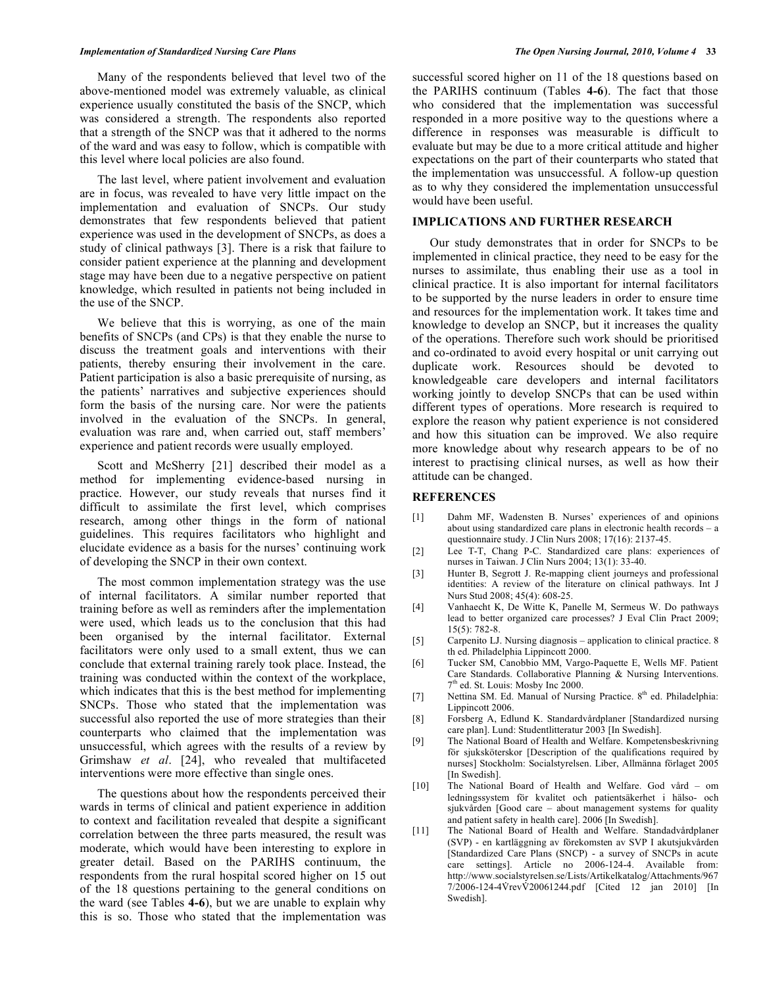#### *Implementation of Standardized Nursing Care Plans The Open Nursing Journal, 2010, Volume 4* **33**

 Many of the respondents believed that level two of the above-mentioned model was extremely valuable, as clinical experience usually constituted the basis of the SNCP, which was considered a strength. The respondents also reported that a strength of the SNCP was that it adhered to the norms of the ward and was easy to follow, which is compatible with this level where local policies are also found.

 The last level, where patient involvement and evaluation are in focus, was revealed to have very little impact on the implementation and evaluation of SNCPs. Our study demonstrates that few respondents believed that patient experience was used in the development of SNCPs, as does a study of clinical pathways [3]. There is a risk that failure to consider patient experience at the planning and development stage may have been due to a negative perspective on patient knowledge, which resulted in patients not being included in the use of the SNCP.

 We believe that this is worrying, as one of the main benefits of SNCPs (and CPs) is that they enable the nurse to discuss the treatment goals and interventions with their patients, thereby ensuring their involvement in the care. Patient participation is also a basic prerequisite of nursing, as the patients' narratives and subjective experiences should form the basis of the nursing care. Nor were the patients involved in the evaluation of the SNCPs. In general, evaluation was rare and, when carried out, staff members' experience and patient records were usually employed.

 Scott and McSherry [21] described their model as a method for implementing evidence-based nursing in practice. However, our study reveals that nurses find it difficult to assimilate the first level, which comprises research, among other things in the form of national guidelines. This requires facilitators who highlight and elucidate evidence as a basis for the nurses' continuing work of developing the SNCP in their own context.

 The most common implementation strategy was the use of internal facilitators. A similar number reported that training before as well as reminders after the implementation were used, which leads us to the conclusion that this had been organised by the internal facilitator. External facilitators were only used to a small extent, thus we can conclude that external training rarely took place. Instead, the training was conducted within the context of the workplace, which indicates that this is the best method for implementing SNCPs. Those who stated that the implementation was successful also reported the use of more strategies than their counterparts who claimed that the implementation was unsuccessful, which agrees with the results of a review by Grimshaw *et al*. [24], who revealed that multifaceted interventions were more effective than single ones.

 The questions about how the respondents perceived their wards in terms of clinical and patient experience in addition to context and facilitation revealed that despite a significant correlation between the three parts measured, the result was moderate, which would have been interesting to explore in greater detail. Based on the PARIHS continuum, the respondents from the rural hospital scored higher on 15 out of the 18 questions pertaining to the general conditions on the ward (see Tables **4-6**), but we are unable to explain why this is so. Those who stated that the implementation was

successful scored higher on 11 of the 18 questions based on the PARIHS continuum (Tables **4-6**). The fact that those who considered that the implementation was successful responded in a more positive way to the questions where a difference in responses was measurable is difficult to evaluate but may be due to a more critical attitude and higher expectations on the part of their counterparts who stated that the implementation was unsuccessful. A follow-up question as to why they considered the implementation unsuccessful would have been useful.

# **IMPLICATIONS AND FURTHER RESEARCH**

 Our study demonstrates that in order for SNCPs to be implemented in clinical practice, they need to be easy for the nurses to assimilate, thus enabling their use as a tool in clinical practice. It is also important for internal facilitators to be supported by the nurse leaders in order to ensure time and resources for the implementation work. It takes time and knowledge to develop an SNCP, but it increases the quality of the operations. Therefore such work should be prioritised and co-ordinated to avoid every hospital or unit carrying out duplicate work. Resources should be devoted to knowledgeable care developers and internal facilitators working jointly to develop SNCPs that can be used within different types of operations. More research is required to explore the reason why patient experience is not considered and how this situation can be improved. We also require more knowledge about why research appears to be of no interest to practising clinical nurses, as well as how their attitude can be changed.

### **REFERENCES**

- [1] Dahm MF, Wadensten B. Nurses' experiences of and opinions about using standardized care plans in electronic health records – a questionnaire study. J Clin Nurs 2008; 17(16): 2137-45.
- [2] Lee T-T, Chang P-C. Standardized care plans: experiences of nurses in Taiwan. J Clin Nurs 2004; 13(1): 33-40.
- [3] Hunter B, Segrott J. Re-mapping client journeys and professional identities: A review of the literature on clinical pathways. Int J Nurs Stud 2008; 45(4): 608-25.
- [4] Vanhaecht K, De Witte K, Panelle M, Sermeus W. Do pathways lead to better organized care processes? J Eval Clin Pract 2009; 15(5): 782-8.
- [5] Carpenito LJ. Nursing diagnosis application to clinical practice. 8 th ed. Philadelphia Lippincott 2000.
- [6] Tucker SM, Canobbio MM, Vargo-Paquette E, Wells MF. Patient Care Standards. Collaborative Planning & Nursing Interventions. 7<sup>th</sup> ed. St. Louis: Mosby Inc 2000.
- [7] Nettina SM. Ed. Manual of Nursing Practice. 8<sup>th</sup> ed. Philadelphia: Lippincott 2006.
- [8] Forsberg A, Edlund K. Standardvårdplaner [Standardized nursing care plan]. Lund: Studentlitteratur 2003 [In Swedish].
- [9] The National Board of Health and Welfare. Kompetensbeskrivning för sjuksköterskor [Description of the qualifications required by nurses] Stockholm: Socialstyrelsen. Liber, Allmänna förlaget 2005 [In Swedish].
- [10] The National Board of Health and Welfare. God vård om ledningssystem för kvalitet och patientsäkerhet i hälso- och sjukvården [Good care – about management systems for quality and patient safety in health care]. 2006 [In Swedish].
- [11] The National Board of Health and Welfare. Standadvårdplaner (SVP) - en kartläggning av förekomsten av SVP I akutsjukvården [Standardized Care Plans (SNCP) - a survey of SNCPs in acute care settings]. Article no 2006-124-4. Available from: http://www.socialstyrelsen.se/Lists/Artikelkatalog/Attachments/967 7/2006-124-4VrevV20061244.pdf [Cited 12 jan 2010] [In Swedish].